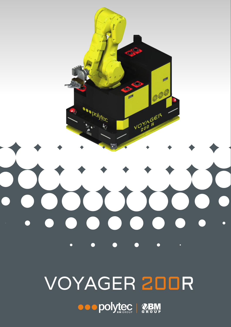

**OOODOLYTEC | REM**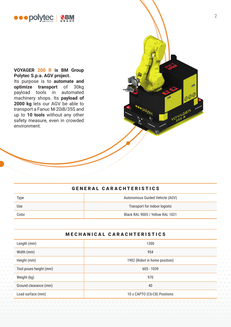

**VOYAGER 200 R is BM Group Polytec S.p.a. AGV project.** Its purpose is to **automate and optimize transport** of 30kg payload tools in automated machinery shops. Its **payload of 2000 kg** lets our AGV be able to transport a Fanuc M-20iB/35S and up to **10 tools** without any other safety measure, even in crowded environment.

### GENERAL CARACHTERISTICS

| <b>Type</b> | Autonomous Guided Vehicle (AGV)  |
|-------------|----------------------------------|
| Use         | Transport for indoor logistic    |
| Color       | Black RAL 9005 / Yellow RAL 1021 |

#### MECHANICAL CARACHTERISTICS

| Length (mm)            | 1300                          |
|------------------------|-------------------------------|
| Width (mm)             | 954                           |
| Height (mm)            | 1902 (Robot in home position) |
| Tool poses height (mm) | $605 - 1039$                  |
| Weight (kg)            | 970                           |
| Ground clearance (mm)  | 40                            |
| Load surface (mm)      | 10 x CAPTO (C6-C8) Positions  |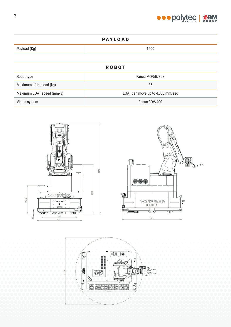

# PAYLOAD Payload (Kg) 1500 ROBOT Robot type **Fanuc M-20iB/35S** Maximum lifting load (kg) 35 Maximum EOAT speed (mm/s) **EOAT** can move up to 4,000 mm/sec

Vision system Fanuc 3DV/400







3